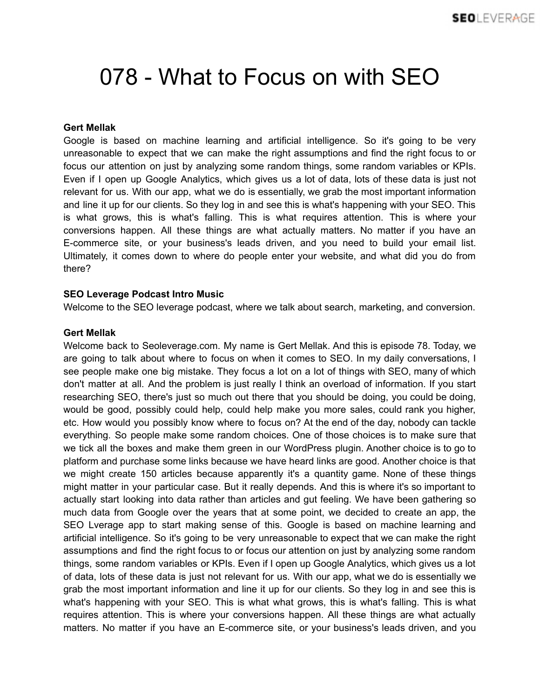## 078 - What to Focus on with SEO

## **Gert Mellak**

Google is based on machine learning and artificial intelligence. So it's going to be very unreasonable to expect that we can make the right assumptions and find the right focus to or focus our attention on just by analyzing some random things, some random variables or KPIs. Even if I open up Google Analytics, which gives us a lot of data, lots of these data is just not relevant for us. With our app, what we do is essentially, we grab the most important information and line it up for our clients. So they log in and see this is what's happening with your SEO. This is what grows, this is what's falling. This is what requires attention. This is where your conversions happen. All these things are what actually matters. No matter if you have an E-commerce site, or your business's leads driven, and you need to build your email list. Ultimately, it comes down to where do people enter your website, and what did you do from there?

## **SEO Leverage Podcast Intro Music**

Welcome to the SEO leverage podcast, where we talk about search, marketing, and conversion.

## **Gert Mellak**

Welcome back to Seoleverage.com. My name is Gert Mellak. And this is episode 78. Today, we are going to talk about where to focus on when it comes to SEO. In my daily conversations, I see people make one big mistake. They focus a lot on a lot of things with SEO, many of which don't matter at all. And the problem is just really I think an overload of information. If you start researching SEO, there's just so much out there that you should be doing, you could be doing, would be good, possibly could help, could help make you more sales, could rank you higher, etc. How would you possibly know where to focus on? At the end of the day, nobody can tackle everything. So people make some random choices. One of those choices is to make sure that we tick all the boxes and make them green in our WordPress plugin. Another choice is to go to platform and purchase some links because we have heard links are good. Another choice is that we might create 150 articles because apparently it's a quantity game. None of these things might matter in your particular case. But it really depends. And this is where it's so important to actually start looking into data rather than articles and gut feeling. We have been gathering so much data from Google over the years that at some point, we decided to create an app, the SEO Lverage app to start making sense of this. Google is based on machine learning and artificial intelligence. So it's going to be very unreasonable to expect that we can make the right assumptions and find the right focus to or focus our attention on just by analyzing some random things, some random variables or KPIs. Even if I open up Google Analytics, which gives us a lot of data, lots of these data is just not relevant for us. With our app, what we do is essentially we grab the most important information and line it up for our clients. So they log in and see this is what's happening with your SEO. This is what what grows, this is what's falling. This is what requires attention. This is where your conversions happen. All these things are what actually matters. No matter if you have an E-commerce site, or your business's leads driven, and you